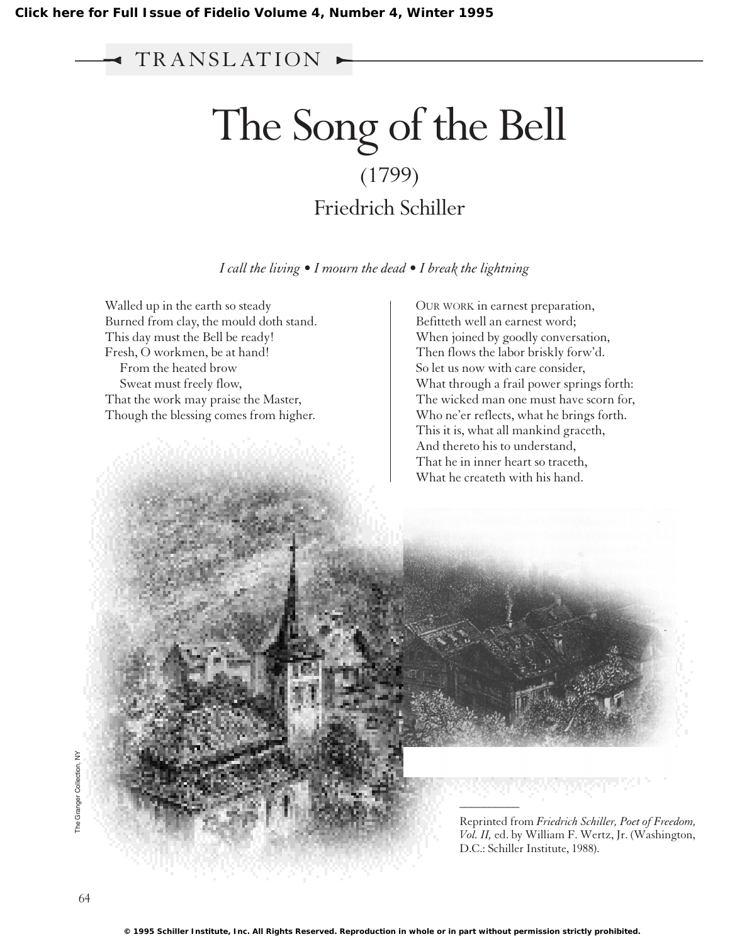## TR ANSL AT ION

## The Song of the Bell (1799) Friedrich Schiller

*I call the living • I mourn the dead • I break the lightning*

Walled up in the earth so steady Burned from clay, the mould doth stand. This day must the Bell be ready! Fresh, O workmen, be at hand! From the heated brow Sweat must freely flow, That the work may praise the Master, Though the blessing comes from higher.

OUR WORK in earnest preparation, Befitteth well an earnest word; When joined by goodly conversation, Then flows the labor briskly forw'd. So let us now with care consider, What through a frail power springs forth: The wicked man one must have scorn for, Who ne'er reflects, what he brings forth. This it is, what all mankind graceth, And thereto his to understand, That he in inner heart so traceth, What he createth with his hand.

The Granger Collection, NY The Granger Collection, NY

Reprinted from *Friedrich Schiller, Poet of Freedom, Vol. II,* ed. by William F. Wertz, Jr. (Washington, D.C.: Schiller Institute, 1988).

 $\sim$ 

64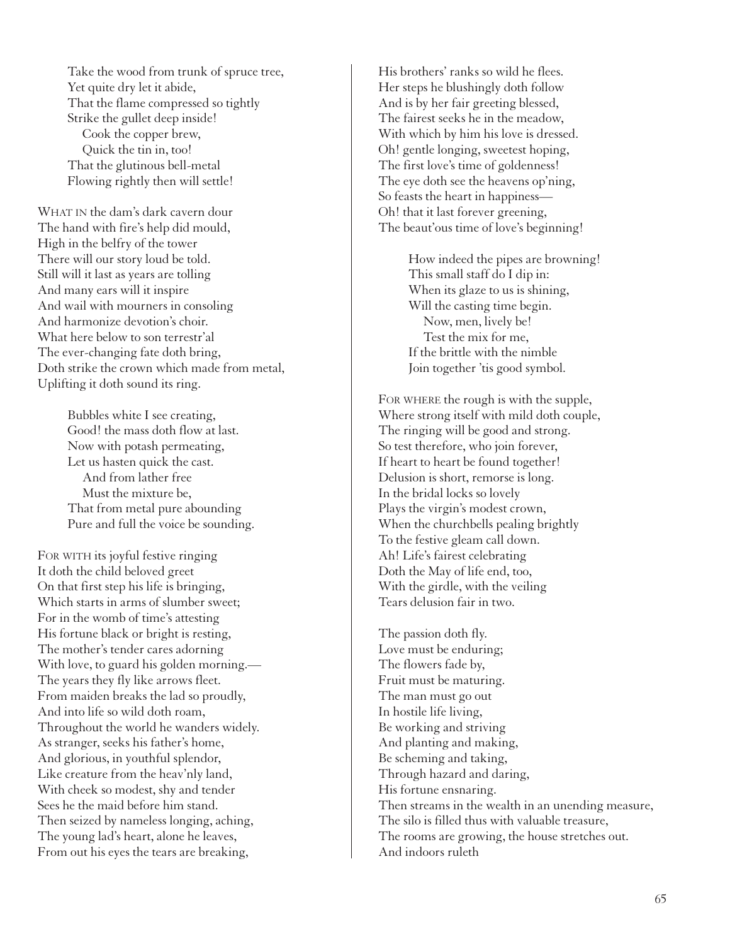Take the wood from trunk of spruce tree, Yet quite dry let it abide, That the flame compressed so tightly Strike the gullet deep inside! Cook the copper brew, Quick the tin in, too! That the glutinous bell-metal Flowing rightly then will settle!

WHAT IN the dam's dark cavern dour The hand with fire's help did mould, High in the belfry of the tower There will our story loud be told. Still will it last as years are tolling And many ears will it inspire And wail with mourners in consoling And harmonize devotion's choir. What here below to son terrestr'al The ever-changing fate doth bring, Doth strike the crown which made from metal, Uplifting it doth sound its ring.

> Bubbles white I see creating, Good! the mass doth flow at last. Now with potash permeating, Let us hasten quick the cast. And from lather free Must the mixture be, That from metal pure abounding Pure and full the voice be sounding.

FOR WITH its joyful festive ringing It doth the child beloved greet On that first step his life is bringing, Which starts in arms of slumber sweet; For in the womb of time's attesting His fortune black or bright is resting, The mother's tender cares adorning With love, to guard his golden morning.— The years they fly like arrows fleet. From maiden breaks the lad so proudly, And into life so wild doth roam, Throughout the world he wanders widely. As stranger, seeks his father's home, And glorious, in youthful splendor, Like creature from the heav'nly land, With cheek so modest, shy and tender Sees he the maid before him stand. Then seized by nameless longing, aching, The young lad's heart, alone he leaves, From out his eyes the tears are breaking,

His brothers' ranks so wild he flees. Her steps he blushingly doth follow And is by her fair greeting blessed, The fairest seeks he in the meadow, With which by him his love is dressed. Oh! gentle longing, sweetest hoping, The first love's time of goldenness! The eye doth see the heavens op'ning, So feasts the heart in happiness— Oh! that it last forever greening, The beaut'ous time of love's beginning!

> How indeed the pipes are browning! This small staff do I dip in: When its glaze to us is shining, Will the casting time begin. Now, men, lively be! Test the mix for me, If the brittle with the nimble Join together 'tis good symbol.

FOR WHERE the rough is with the supple, Where strong itself with mild doth couple, The ringing will be good and strong. So test therefore, who join forever, If heart to heart be found together! Delusion is short, remorse is long. In the bridal locks so lovely Plays the virgin's modest crown, When the churchbells pealing brightly To the festive gleam call down. Ah! Life's fairest celebrating Doth the May of life end, too, With the girdle, with the veiling Tears delusion fair in two.

The passion doth fly. Love must be enduring; The flowers fade by, Fruit must be maturing. The man must go out In hostile life living, Be working and striving And planting and making, Be scheming and taking, Through hazard and daring, His fortune ensnaring. Then streams in the wealth in an unending measure, The silo is filled thus with valuable treasure, The rooms are growing, the house stretches out. And indoors ruleth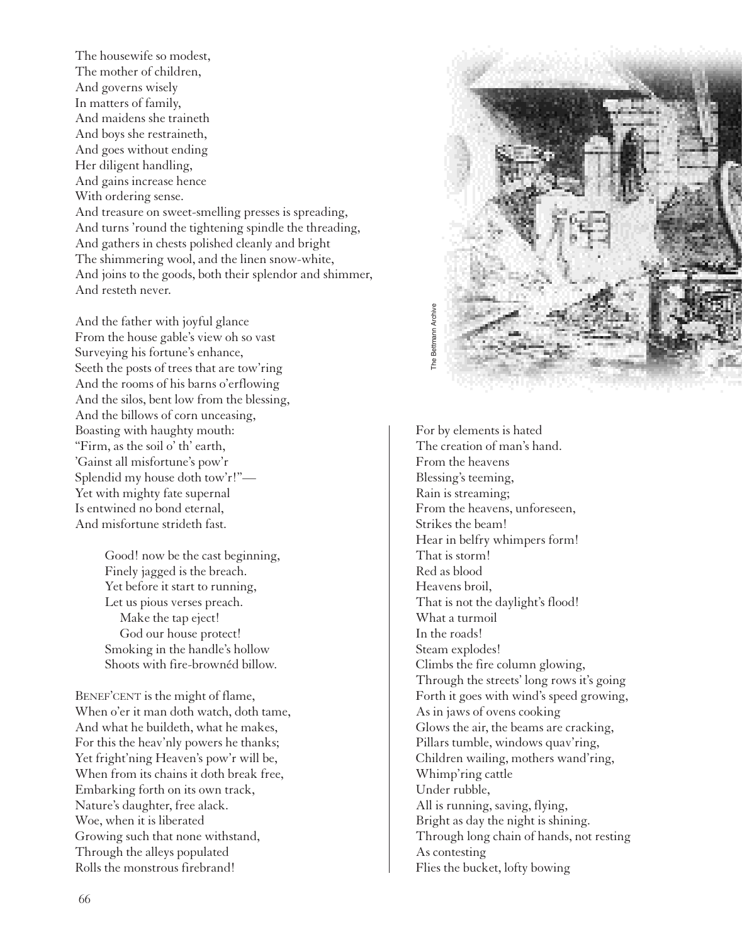The housewife so modest, The mother of children, And governs wisely In matters of family, And maidens she traineth And boys she restraineth, And goes without ending Her diligent handling, And gains increase hence With ordering sense. And treasure on sweet-smelling presses is spreading, And turns 'round the tightening spindle the threading, And gathers in chests polished cleanly and bright The shimmering wool, and the linen snow-white, And joins to the goods, both their splendor and shimmer, And resteth never.

And the father with joyful glance From the house gable's view oh so vast Surveying his fortune's enhance, Seeth the posts of trees that are tow'ring And the rooms of his barns o'erflowing And the silos, bent low from the blessing, And the billows of corn unceasing, Boasting with haughty mouth: "Firm, as the soil o' th' earth, 'Gainst all misfortune's pow'r Splendid my house doth tow'r!"— Yet with mighty fate supernal Is entwined no bond eternal, And misfortune strideth fast.

> Good! now be the cast beginning, Finely jagged is the breach. Yet before it start to running, Let us pious verses preach. Make the tap eject! God our house protect! Smoking in the handle's hollow Shoots with fire-brownéd billow.

BENEF'CENT is the might of flame, When o'er it man doth watch, doth tame, And what he buildeth, what he makes, For this the heav'nly powers he thanks; Yet fright'ning Heaven's pow'r will be, When from its chains it doth break free, Embarking forth on its own track, Nature's daughter, free alack. Woe, when it is liberated Growing such that none withstand, Through the alleys populated Rolls the monstrous firebrand!



For by elements is hated The creation of man's hand. From the heavens Blessing's teeming, Rain is streaming; From the heavens, unforeseen, Strikes the beam! Hear in belfry whimpers form! That is storm! Red as blood Heavens broil, That is not the daylight's flood! What a turmoil In the roads! Steam explodes! Climbs the fire column glowing, Through the streets' long rows it's going Forth it goes with wind's speed growing, As in jaws of ovens cooking Glows the air, the beams are cracking, Pillars tumble, windows quav'ring, Children wailing, mothers wand'ring, Whimp'ring cattle Under rubble, All is running, saving, flying, Bright as day the night is shining. Through long chain of hands, not resting As contesting Flies the bucket, lofty bowing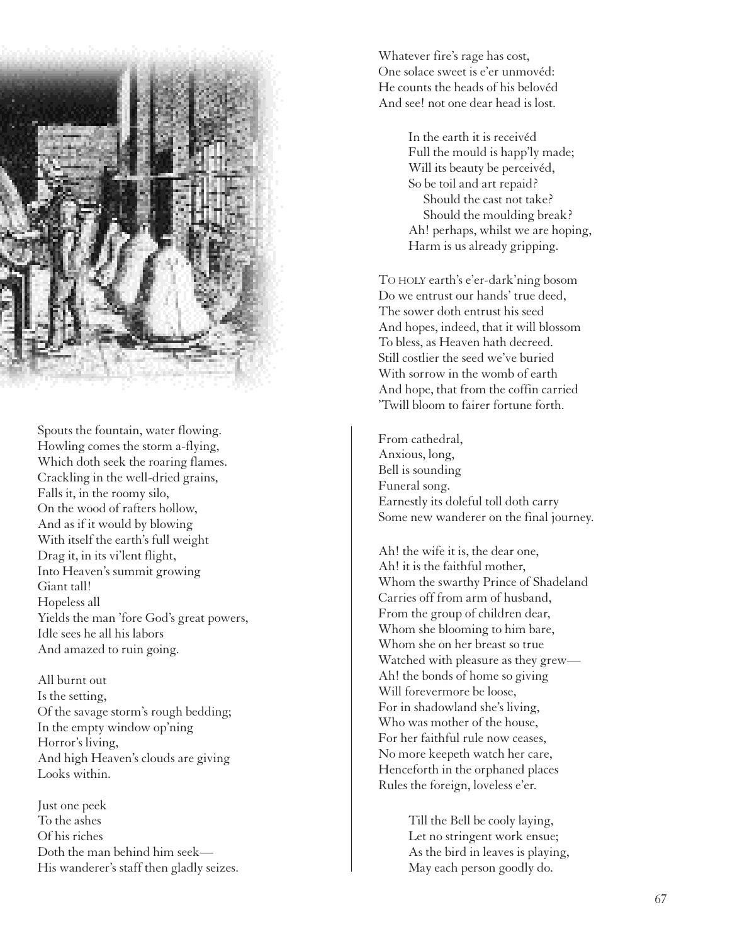

Spouts the fountain, water flowing. Howling comes the storm a-flying, Which doth seek the roaring flames. Crackling in the well-dried grains, Falls it, in the roomy silo, On the wood of rafters hollow, And as if it would by blowing With itself the earth's full weight Drag it, in its vi'lent flight, Into Heaven's summit growing Giant tall! Hopeless all Yields the man 'fore God's great powers, Idle sees he all his labors And amazed to ruin going.

All burnt out Is the setting, Of the savage storm's rough bedding; In the empty window op'ning Horror's living, And high Heaven's clouds are giving Looks within.

Just one peek To the ashes Of his riches Doth the man behind him seek— His wanderer's staff then gladly seizes. Whatever fire's rage has cost, One solace sweet is e'er unmovéd: He counts the heads of his belovéd And see! not one dear head is lost.

> In the earth it is receivéd Full the mould is happ'ly made; Will its beauty be perceivéd, So be toil and art repaid? Should the cast not take? Should the moulding break? Ah! perhaps, whilst we are hoping, Harm is us already gripping.

TO HOLY earth's e'er-dark'ning bosom Do we entrust our hands' true deed, The sower doth entrust his seed And hopes, indeed, that it will blossom To bless, as Heaven hath decreed. Still costlier the seed we've buried With sorrow in the womb of earth And hope, that from the coffin carried 'Twill bloom to fairer fortune forth.

From cathedral, Anxious, long, Bell is sounding Funeral song. Earnestly its doleful toll doth carry Some new wanderer on the final journey.

Ah! the wife it is, the dear one, Ah! it is the faithful mother, Whom the swarthy Prince of Shadeland Carries off from arm of husband, From the group of children dear, Whom she blooming to him bare, Whom she on her breast so true Watched with pleasure as they grew— Ah! the bonds of home so giving Will forevermore be loose, For in shadowland she's living, Who was mother of the house, For her faithful rule now ceases, No more keepeth watch her care, Henceforth in the orphaned places Rules the foreign, loveless e'er.

> Till the Bell be cooly laying, Let no stringent work ensue; As the bird in leaves is playing, May each person goodly do.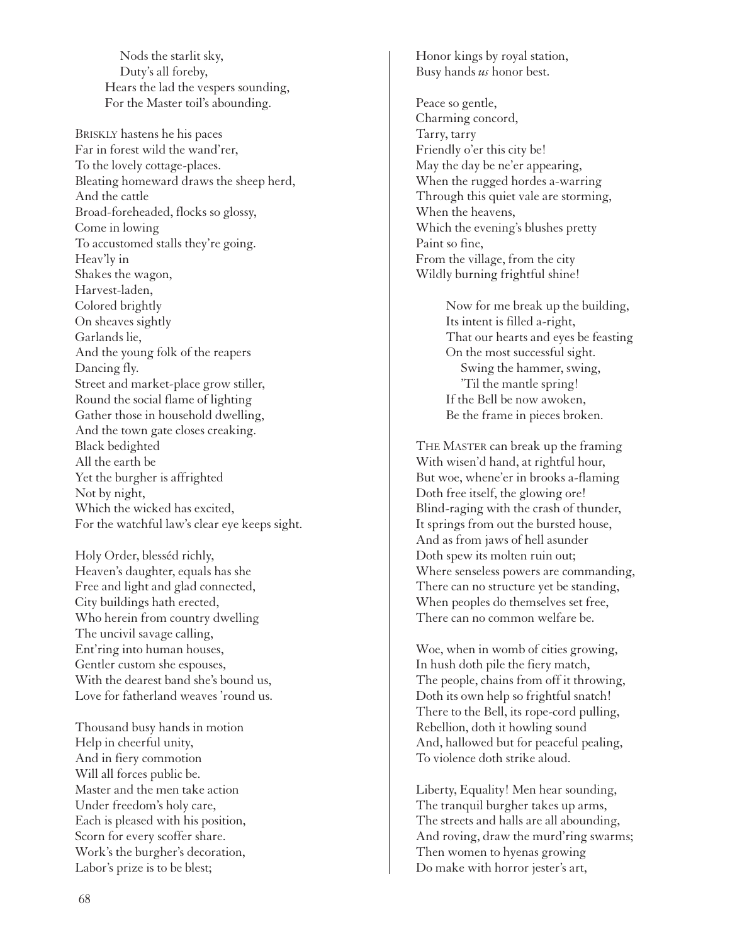Nods the starlit sky, Duty's all foreby, Hears the lad the vespers sounding, For the Master toil's abounding.

BRISKLY hastens he his paces Far in forest wild the wand'rer, To the lovely cottage-places. Bleating homeward draws the sheep herd, And the cattle Broad-foreheaded, flocks so glossy, Come in lowing To accustomed stalls they're going. Heav'ly in Shakes the wagon, Harvest-laden, Colored brightly On sheaves sightly Garlands lie, And the young folk of the reapers Dancing fly. Street and market-place grow stiller, Round the social flame of lighting Gather those in household dwelling, And the town gate closes creaking. Black bedighted All the earth be Yet the burgher is affrighted Not by night, Which the wicked has excited, For the watchful law's clear eye keeps sight.

Holy Order, blesséd richly, Heaven's daughter, equals has she Free and light and glad connected, City buildings hath erected, Who herein from country dwelling The uncivil savage calling, Ent'ring into human houses, Gentler custom she espouses, With the dearest band she's bound us, Love for fatherland weaves 'round us.

Thousand busy hands in motion Help in cheerful unity, And in fiery commotion Will all forces public be. Master and the men take action Under freedom's holy care, Each is pleased with his position, Scorn for every scoffer share. Work's the burgher's decoration, Labor's prize is to be blest;

Honor kings by royal station, Busy hands *us* honor best.

Peace so gentle, Charming concord, Tarry, tarry Friendly o'er this city be! May the day be ne'er appearing, When the rugged hordes a-warring Through this quiet vale are storming, When the heavens, Which the evening's blushes pretty Paint so fine, From the village, from the city Wildly burning frightful shine!

> Now for me break up the building, Its intent is filled a-right, That our hearts and eyes be feasting On the most successful sight. Swing the hammer, swing, 'Til the mantle spring! If the Bell be now awoken, Be the frame in pieces broken.

THE MASTER can break up the framing With wisen'd hand, at rightful hour, But woe, whene'er in brooks a-flaming Doth free itself, the glowing ore! Blind-raging with the crash of thunder, It springs from out the bursted house, And as from jaws of hell asunder Doth spew its molten ruin out; Where senseless powers are commanding, There can no structure yet be standing, When peoples do themselves set free, There can no common welfare be.

Woe, when in womb of cities growing, In hush doth pile the fiery match, The people, chains from off it throwing, Doth its own help so frightful snatch! There to the Bell, its rope-cord pulling, Rebellion, doth it howling sound And, hallowed but for peaceful pealing, To violence doth strike aloud.

Liberty, Equality! Men hear sounding, The tranquil burgher takes up arms, The streets and halls are all abounding, And roving, draw the murd'ring swarms; Then women to hyenas growing Do make with horror jester's art,